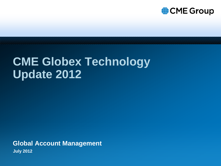

# **CME Globex Technology Update 2012**

**Global Account Management July 2012**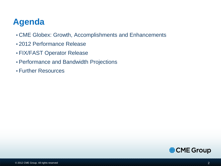### **Agenda**

- CME Globex: Growth, Accomplishments and Enhancements
- 2012 Performance Release
- FIX/FAST Operator Release
- Performance and Bandwidth Projections
- Further Resources

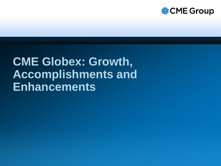

# **CME Globex: Growth, Accomplishments and Enhancements**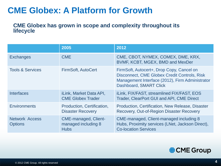### **CME Globex: A Platform for Growth**

#### **CME Globex has grown in scope and complexity throughout its lifecycle**

|                                         | 2005                                                              | 2012                                                                                                                                                                   |
|-----------------------------------------|-------------------------------------------------------------------|------------------------------------------------------------------------------------------------------------------------------------------------------------------------|
| <b>Exchanges</b>                        | <b>CME</b>                                                        | CME, CBOT, NYMEX, COMEX, DME, KRX,<br>BVMF, KCBT, MGEX, BMD and MexDer                                                                                                 |
| <b>Tools &amp; Services</b>             | <b>FirmSoft, AutoCert</b>                                         | FirmSoft, Autocert+, Drop Copy, Cancel on<br>Disconnect, CME Globex Credit Controls, Risk<br>Management Interface (2012), Firm Administrator<br>Dashboard, SMART Click |
| <b>Interfaces</b>                       | <i>iLink, Market Data API,</i><br><b>CME Globex Trader</b>        | iLink, FIX/FAST, streamlined FIX/FAST, EOS<br><b>Trader, ClearPort GUI and API, CME Direct</b>                                                                         |
| <b>Environments</b>                     | Production, Certification,<br><b>Disaster Recovery</b>            | Production, Certification, New Release, Disaster<br>Recovery, Out-of-Region Disaster Recovery                                                                          |
| <b>Network Access</b><br><b>Options</b> | <b>CME-managed, Client-</b><br>managed including 8<br><b>Hubs</b> | CME-managed, Client-managed including 8<br>Hubs, Proximity services (LNet, Jackson Direct),<br><b>Co-location Services</b>                                             |

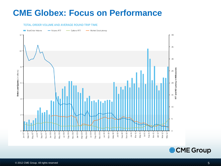### **CME Globex: Focus on Performance**

#### **TOTAL ORDER VOLUME AND AVERAGE ROUND TRIP TIME**



CME Group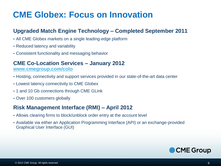### **CME Globex: Focus on Innovation**

#### **Upgraded Match Engine Technology – Completed September 2011**

- All CME Globex markets on a single leading-edge platform
- Reduced latency and variability
- Consistent functionality and messaging behavior

### **CME Co-Location Services – January 2012**

#### **[www.cmegroup.com/colo](http://www.cmegroup.com/colo)**

- Hosting, connectivity and support services provided in our state-of-the-art data center
- Lowest latency connectivity to CME Globex
- 1 and 10 Gb connections through CME GLink
- Over 100 customers globally

#### **Risk Management Interface (RMI) – April 2012**

- Allows clearing firms to block/unblock order entry at the account level
- Available via either an Application Programming Interface (API) or an exchange-provided Graphical User Interface (GUI)

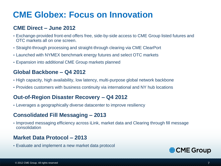### **CME Globex: Focus on Innovation**

#### **CME Direct – June 2012**

- Exchange-provided front-end offers free, side-by-side access to CME Group listed futures and OTC markets all on one screen.
- Straight-through processing and straight-through clearing via CME ClearPort
- Launched with NYMEX benchmark energy futures and select OTC markets
- Expansion into additional CME Group markets planned

#### **Global Backbone – Q4 2012**

- High capacity, high availability, low latency, multi-purpose global network backbone
- Provides customers with business continuity via international and NY hub locations

#### **Out-of-Region Disaster Recovery – Q4 2012**

• Leverages a geographically diverse datacenter to improve resiliency

#### **Consolidated Fill Messaging – 2013**

• Improved messaging efficiency across iLink, market data and Clearing through fill message consolidation

#### **Market Data Protocol – 2013**

• Evaluate and implement a new market data protocol

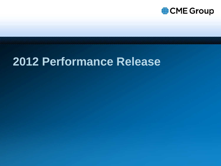

# **2012 Performance Release**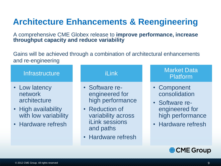## **Architecture Enhancements & Reengineering**

A comprehensive CME Globex release to **improve performance, increase throughput capacity and reduce variability**

Gains will be achieved through a combination of architectural enhancements and re-engineering

#### **Infrastructure**

- Low latency network architecture
- High availability with low variability
- Hardware refresh

#### iLink

- Software reengineered for high performance
- Reduction of variability across iLink sessions and paths
- Hardware refresh

#### Market Data Platform

- Component consolidation
- Software reengineered for high performance
- Hardware refresh

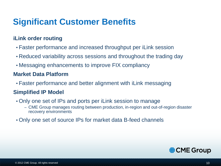### **Significant Customer Benefits**

#### **iLink order routing**

- Faster performance and increased throughput per iLink session
- Reduced variability across sessions and throughout the trading day
- Messaging enhancements to improve FIX compliancy

#### **Market Data Platform**

• Faster performance and better alignment with iLink messaging

#### **Simplified IP Model**

- Only one set of IPs and ports per iLink session to manage
	- CME Group manages routing between production, in-region and out-of-region disaster recovery environments
- Only one set of source IPs for market data B-feed channels

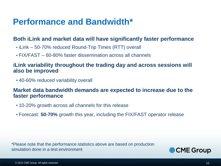### **Performance and Bandwidth\***

#### **Both iLink and market data will have significantly faster performance**

- iLink 50-70% reduced Round-Trip Times (RTT) overall
- FIX/FAST 60-80% faster dissemination across all channels

#### **iLink variability throughout the trading day and across sessions will also be improved**

• 40-60% reduced variability overall

#### **Market data bandwidth demands are expected to increase due to the faster performance**

- 10-20% growth across all channels for this release
- Forecast: **50-70%** growth this year, including the FIX/FAST operator release

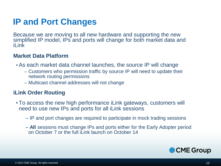### **IP and Port Changes**

Because we are moving to all new hardware and supporting the new simplified IP model, IPs and ports will change for both market data and il ink

#### **Market Data Platform**

- As each market data channel launches, the source IP will change
	- Customers who permission traffic by source IP will need to update their network routing permissions
	- Multicast channel addresses will not change

#### **iLink Order Routing**

- •To access the new high performance iLink gateways, customers will need to use new IPs and ports for all iLink sessions
	- IP and port changes are required to participate in mock trading sessions
	- **All** sessions must change IPs and ports either for the Early Adopter period on October 7 or the full iLink launch on October 14

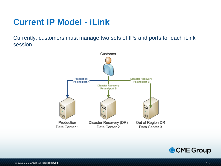### **Current IP Model - iLink**

Currently, customers must manage two sets of IPs and ports for each iLink session.



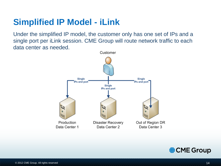### **Simplified IP Model - iLink**

Under the simplified IP model, the customer only has one set of IPs and a single port per iLink session. CME Group will route network traffic to each data center as needed.



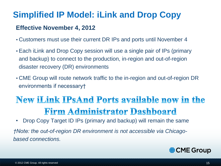## **Simplified IP Model: iLink and Drop Copy**

### **Effective November 4, 2012**

- Customers must use their current DR IPs and ports until November 4
- Each iLink and Drop Copy session will use a single pair of IPs (primary and backup) to connect to the production, in-region and out-of-region disaster recovery (DR) environments
- CME Group will route network traffic to the in-region and out-of-region DR environments if necessary†

# **New iLink IPsAnd Ports available now in the Firm Administrator Dashboard**

• Drop Copy Target ID IPs (primary and backup) will remain the same

*†Note: the out-of-region DR environment is not accessible via Chicagobased connections.*

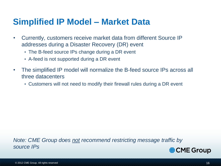### **Simplified IP Model – Market Data**

- Currently, customers receive market data from different Source IP addresses during a Disaster Recovery (DR) event
	- The B-feed source IPs change during a DR event
	- A-feed is not supported during a DR event
- The simplified IP model will normalize the B-feed source IPs across all three datacenters
	- Customers will not need to modify their firewall rules during a DR event

*Note: CME Group does not recommend restricting message traffic by source IPs* CME Group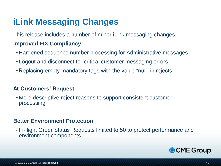### **iLink Messaging Changes**

This release includes a number of minor iLink messaging changes.

#### **Improved FIX Compliancy**

- Hardened sequence number processing for Administrative messages
- Logout and disconnect for critical customer messaging errors
- Replacing empty mandatory tags with the value "null" in rejects

#### **At Customers' Request**

• More descriptive reject reasons to support consistent customer processing

#### **Better Environment Protection**

• In-flight Order Status Requests limited to 50 to protect performance and environment components

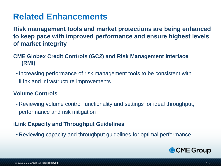### **Related Enhancements**

**Risk management tools and market protections are being enhanced to keep pace with improved performance and ensure highest levels of market integrity**

#### **CME Globex Credit Controls (GC2) and Risk Management Interface (RMI)**

• Increasing performance of risk management tools to be consistent with iLink and infrastructure improvements

#### **Volume Controls**

• Reviewing volume control functionality and settings for ideal throughput, performance and risk mitigation

#### **iLink Capacity and Throughput Guidelines**

• Reviewing capacity and throughput guidelines for optimal performance

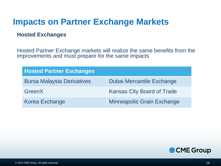### **Impacts on Partner Exchange Markets**

#### **Hosted Exchanges**

Hosted Partner Exchange markets will realize the same benefits from the improvements and must prepare for the same impacts

| <b>Hosted Partner Exchanges</b>   |                                   |
|-----------------------------------|-----------------------------------|
| <b>Bursa Malaysia Derivatives</b> | <b>Dubai Mercantile Exchange</b>  |
| <b>GreenX</b>                     | <b>Kansas City Board of Trade</b> |
| <b>Korea Exchange</b>             | <b>Minneapolis Grain Exchange</b> |

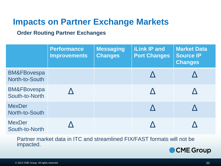### **Impacts on Partner Exchange Markets**

#### **Order Routing Partner Exchanges**

|                                          | <b>Performance</b><br><b>Improvements</b> | <b>Messaging</b><br><b>Changes</b> | <b>iLink IP and</b><br><b>Port Changes</b> | <b>Market Data</b><br><b>Source IP</b><br><b>Changes</b> |
|------------------------------------------|-------------------------------------------|------------------------------------|--------------------------------------------|----------------------------------------------------------|
| <b>BM&amp;FBovespa</b><br>North-to-South |                                           |                                    |                                            |                                                          |
| <b>BM&amp;FBovespa</b><br>South-to-North |                                           |                                    |                                            |                                                          |
| <b>MexDer</b><br>North-to-South          |                                           |                                    |                                            |                                                          |
| <b>MexDer</b><br>South-to-North          |                                           |                                    |                                            |                                                          |

Partner market data in ITC and streamlined FIX/FAST formats will not be impacted.

CME Group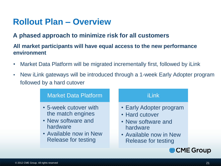### **Rollout Plan – Overview**

### **A phased approach to minimize risk for all customers**

#### **All market participants will have equal access to the new performance environment**

- Market Data Platform will be migrated incrementally first, followed by iLink
- New iLink gateways will be introduced through a 1-week Early Adopter program followed by a hard cutover

#### Market Data Platform iLink • 5-week cutover with • Early Adopter program the match engines • Hard cutover • New software and • New software and hardware hardware • Available now in New • Available now in New Release for testing Release for testingCME Group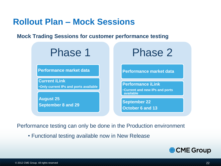### **Rollout Plan – Mock Sessions**

**Mock Trading Sessions for customer performance testing**

Phase 1 **Performance market data Current iLink** •**Only current IPs and ports available August 25 September 8 and 29** Phase 2 **Performance market data Performance iLink** •**Current and new IPs and ports available September 22 October 6 and 13**

Performance testing can only be done in the Production environment

• Functional testing available now in New Release

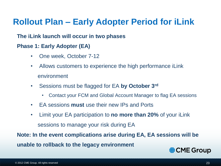### **Rollout Plan – Early Adopter Period for iLink**

#### **The iLink launch will occur in two phases**

#### **Phase 1: Early Adopter (EA)**

- One week, October 7-12
- Allows customers to experience the high performance iLink environment
- Sessions must be flagged for EA **by October 3rd**
	- Contact your FCM and Global Account Manager to flag EA sessions
- EA sessions **must** use their new IPs and Ports
- Limit your EA participation to **no more than 20%** of your iLink sessions to manage your risk during EA

**Note: In the event complications arise during EA, EA sessions will be unable to rollback to the legacy environment**

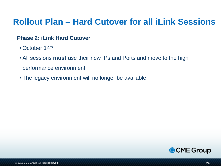### **Rollout Plan – Hard Cutover for all iLink Sessions**

#### **Phase 2: iLink Hard Cutover**

- October 14<sup>th</sup>
- •All sessions **must** use their new IPs and Ports and move to the high performance environment
- •The legacy environment will no longer be available

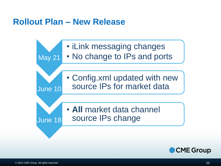### **Rollout Plan – New Release**



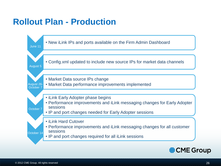### **Rollout Plan - Production**



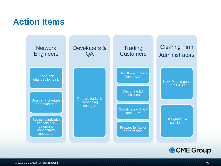### **Action Items**



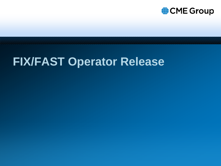

# **FIX/FAST Operator Release**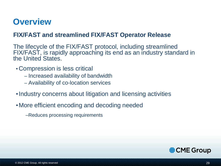### **Overview**

### **FIX/FAST and streamlined FIX/FAST Operator Release**

The lifecycle of the FIX/FAST protocol, including streamlined FIX/FAST, is rapidly approaching its end as an industry standard in the United States.

- •Compression is less critical
	- Increased availability of bandwidth
	- Availability of co-location services
- •Industry concerns about litigation and licensing activities
- •More efficient encoding and decoding needed

–Reduces processing requirements

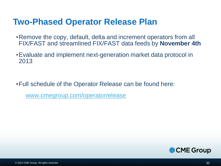### **Two-Phased Operator Release Plan**

- •Remove the copy, default, delta and increment operators from all FIX/FAST and streamlined FIX/FAST data feeds by **November 4th**
- •Evaluate and implement next-generation market data protocol in 2013

•Full schedule of the Operator Release can be found here:

[www.cmegroup.com/operatorrelease](http://www.cmegroup.com/operatorrelease)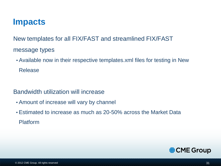### **Impacts**

New templates for all FIX/FAST and streamlined FIX/FAST message types

• Available now in their respective templates.xml files for testing in New Release

#### Bandwidth utilization will increase

- Amount of increase will vary by channel
- Estimated to increase as much as 20-50% across the Market Data Platform

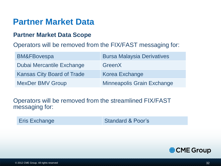### **Partner Market Data**

#### **Partner Market Data Scope**

Operators will be removed from the FIX/FAST messaging for:

| <b>BM&amp;FBovespa</b>            | <b>Bursa Malaysia Derivatives</b> |
|-----------------------------------|-----------------------------------|
| Dubai Mercantile Exchange         | GreenX                            |
| <b>Kansas City Board of Trade</b> | Korea Exchange                    |
| <b>MexDer BMV Group</b>           | <b>Minneapolis Grain Exchange</b> |

Operators will be removed from the streamlined FIX/FAST messaging for:

Eris Exchange Standard & Poor's

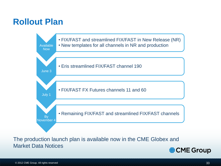### **Rollout Plan**



The production launch plan is available now in the CME Globex and Market Data Notices

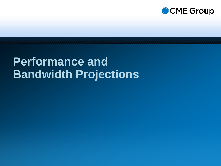

# **Performance and Bandwidth Projections**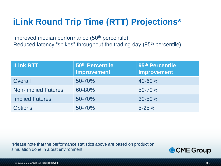## **iLink Round Trip Time (RTT) Projections\***

Improved median performance (50th percentile) Reduced latency "spikes" throughout the trading day (95th percentile)

| <b>iLink RTT</b>           | 50th Percentile<br><b>Improvement</b> | 95th Percentile<br><b>Improvement</b> |
|----------------------------|---------------------------------------|---------------------------------------|
| <b>Overall</b>             | 50-70%                                | 40-60%                                |
| <b>Non-Implied Futures</b> | 60-80%                                | 50-70%                                |
| <b>Implied Futures</b>     | 50-70%                                | 30-50%                                |
| <b>Options</b>             | 50-70%                                | $5 - 25%$                             |

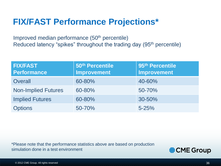### **FIX/FAST Performance Projections\***

Improved median performance (50th percentile) Reduced latency "spikes" throughout the trading day (95th percentile)

| <b>FIX/FAST</b><br><b>Performance</b> | 50th Percentile<br><b>Improvement</b> | 95th Percentile<br><b>Improvement</b> |
|---------------------------------------|---------------------------------------|---------------------------------------|
| Overall                               | 60-80%                                | 40-60%                                |
| <b>Non-Implied Futures</b>            | 60-80%                                | 50-70%                                |
| <b>Implied Futures</b>                | 60-80%                                | 30-50%                                |
| <b>Options</b>                        | 50-70%                                | $5 - 25%$                             |

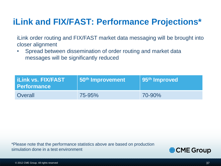## **iLink and FIX/FAST: Performance Projections\***

iLink order routing and FIX/FAST market data messaging will be brought into closer alignment

• Spread between dissemination of order routing and market data messages will be significantly reduced

| <b>iLink vs. FIX/FAST</b><br><b>Performance</b> | $\vert$ 50 <sup>th</sup> Improvement | 95 <sup>th</sup> Improved |
|-------------------------------------------------|--------------------------------------|---------------------------|
| Overall                                         | 75-95%                               | 70-90%                    |

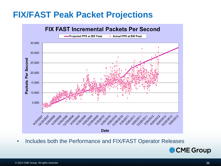### **FIX/FAST Peak Packet Projections**



• Includes both the Performance and FIX/FAST Operator Releases

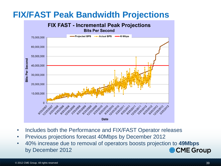### **FIX/FAST Peak Bandwidth Projections**



- Includes both the Performance and FIX/FAST Operator releases
- Previous projections forecast 40Mbps by December 2012
- 40% increase due to removal of operators boosts projection to **49Mbps**  CME Group by December 2012